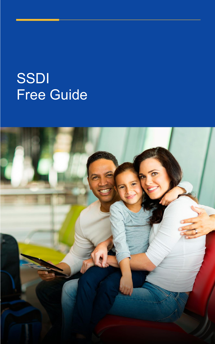# SSDI Free Guide

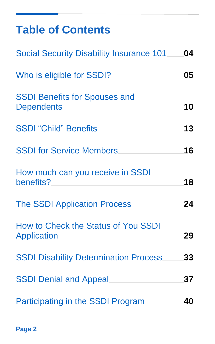### **Table of Contents**

| <b>Social Security Disability Insurance 101</b>           | 04 |
|-----------------------------------------------------------|----|
| Who is eligible for SSDI?                                 | 05 |
| <b>SSDI Benefits for Spouses and</b><br><b>Dependents</b> | 10 |
| <b>SSDI "Child" Benefits</b>                              | 13 |
| <b>SSDI for Service Members</b>                           | 16 |
| How much can you receive in SSDI<br>benefits?             | 18 |
| <b>The SSDI Application Process</b>                       | 24 |
| How to Check the Status of You SSDI<br>Application        | 29 |
| <b>SSDI Disability Determination Process</b>              | 33 |
| <b>SSDI Denial and Appeal</b>                             | 37 |
| Participating in the SSDI Program                         | 40 |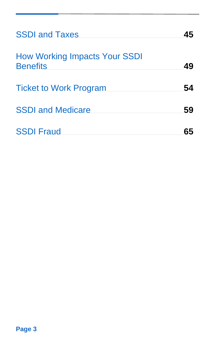| <b>SSDI and Taxes</b>                                   | 45 |
|---------------------------------------------------------|----|
| <b>How Working Impacts Your SSDI</b><br><b>Benefits</b> | 49 |
| <b>Ticket to Work Program</b>                           | 54 |
| <b>SSDI and Medicare</b>                                | 59 |
| <b>SSDI Fraud</b>                                       |    |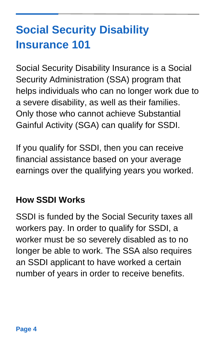# <span id="page-3-0"></span>**Social Security Disability Insurance 101**

Social Security Disability Insurance is a Social Security Administration (SSA) program that helps individuals who can no longer work due to a severe disability, as well as their families. Only those who cannot achieve Substantial Gainful Activity (SGA) can qualify for SSDI.

If you qualify for SSDI, then you can receive financial assistance based on your average earnings over the qualifying years you worked.

#### **How SSDI Works**

SSDI is funded by the Social Security taxes all workers pay. In order to qualify for SSDI, a worker must be so severely disabled as to no longer be able to work. The SSA also requires an SSDI applicant to have worked a certain number of years in order to receive benefits.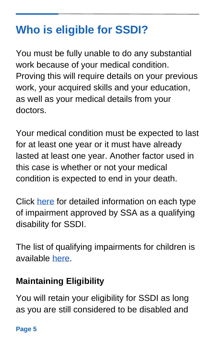## <span id="page-4-0"></span>**Who is eligible for SSDI?**

You must be fully unable to do any substantial work because of your medical condition. Proving this will require details on your previous work, your acquired skills and your education, as well as your medical details from your doctors.

Your medical condition must be expected to last for at least one year or it must have already lasted at least one year. Another factor used in this case is whether or not your medical condition is expected to end in your death.

Click [here](https://www.ssa.gov/disability/professionals/bluebook/AdultListings.htm) for detailed information on each type of impairment approved by SSA as a qualifying disability for SSDI.

The list of qualifying impairments for children is available [here.](https://www.ssa.gov/disability/professionals/bluebook/ChildhoodListings.htm)

### **Maintaining Eligibility**

You will retain your eligibility for SSDI as long as you are still considered to be disabled and

**Page 5**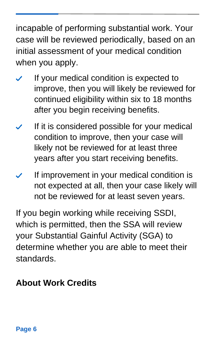incapable of performing substantial work. Your case will be reviewed periodically, based on an initial assessment of your medical condition when you apply.

- If your medical condition is expected to improve, then you will likely be reviewed for continued eligibility within six to 18 months after you begin receiving benefits.
- If it is considered possible for your medical condition to improve, then your case will likely not be reviewed for at least three years after you start receiving benefits.
- If improvement in your medical condition is not expected at all, then your case likely will not be reviewed for at least seven years.

If you begin working while receiving SSDI, which is permitted, then the SSA will review your Substantial Gainful Activity (SGA) to determine whether you are able to meet their standards.

#### **About Work Credits**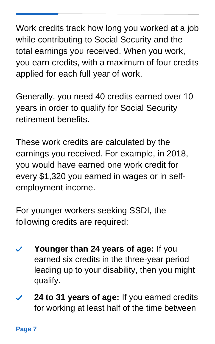Work credits track how long you worked at a job while contributing to Social Security and the total earnings you received. When you work, you earn credits, with a maximum of four credits applied for each full year of work.

Generally, you need 40 credits earned over 10 years in order to qualify for Social Security retirement benefits.

These work credits are calculated by the earnings you received. For example, in 2018, you would have earned one work credit for every \$1,320 you earned in wages or in selfemployment income.

For younger workers seeking SSDI, the following credits are required:

- **Younger than 24 years of age:** If you earned six credits in the three-year period leading up to your disability, then you might qualify.
- **24 to 31 years of age:** If you earned credits for working at least half of the time between

**Page 7**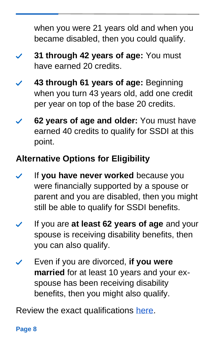when you were 21 years old and when you became disabled, then you could qualify.

- **31 through 42 years of age:** You must have earned 20 credits.
- **43 through 61 years of age:** Beginning when you turn 43 years old, add one credit per year on top of the base 20 credits.
- **62 years of age and older:** You must have earned 40 credits to qualify for SSDI at this point.

### **Alternative Options for Eligibility**

- If **you have never worked** because you were financially supported by a spouse or parent and you are disabled, then you might still be able to qualify for SSDI benefits.
- If you are **at least 62 years of age** and your spouse is receiving disability benefits, then you can also qualify.
- Even if you are divorced, **if you were married** for at least 10 years and your exspouse has been receiving disability benefits, then you might also qualify.

Review the exact qualifications [here.](https://www.ssa.gov/planners/retire/divspouse.html)

#### **Page 8**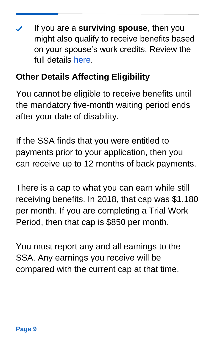If you are a **surviving spouse**, then you might also qualify to receive benefits based on your spouse's work credits. Review the full details [here.](https://www.ssa.gov/planners/credits.html#h4)

#### **Other Details Affecting Eligibility**

You cannot be eligible to receive benefits until the mandatory five-month waiting period ends after your date of disability.

If the SSA finds that you were entitled to payments prior to your application, then you can receive up to 12 months of back payments.

There is a cap to what you can earn while still receiving benefits. In 2018, that cap was \$1,180 per month. If you are completing a Trial Work Period, then that cap is \$850 per month.

You must report any and all earnings to the SSA. Any earnings you receive will be compared with the current cap at that time.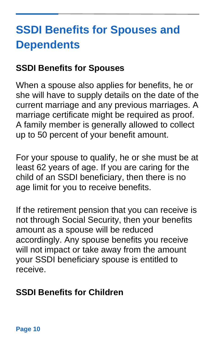# <span id="page-9-0"></span>**SSDI Benefits for Spouses and Dependents**

#### **SSDI Benefits for Spouses**

When a spouse also applies for benefits, he or she will have to supply details on the date of the current marriage and any previous marriages. A marriage certificate might be required as proof. A family member is generally allowed to collect up to 50 percent of your benefit amount.

For your spouse to qualify, he or she must be at least 62 years of age. If you are caring for the child of an SSDI beneficiary, then there is no age limit for you to receive benefits.

If the retirement pension that you can receive is not through Social Security, then your benefits amount as a spouse will be reduced accordingly. Any spouse benefits you receive will not impact or take away from the amount your SSDI beneficiary spouse is entitled to receive.

#### **SSDI Benefits for Children**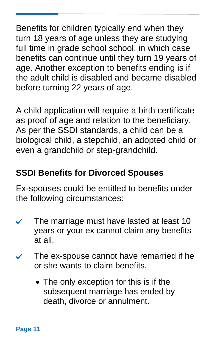Benefits for children typically end when they turn 18 years of age unless they are studying full time in grade school school, in which case benefits can continue until they turn 19 years of age. Another exception to benefits ending is if the adult child is disabled and became disabled before turning 22 years of age.

A child application will require a birth certificate as proof of age and relation to the beneficiary. As per the SSDI standards, a child can be a biological child, a stepchild, an adopted child or even a grandchild or step-grandchild.

#### **SSDI Benefits for Divorced Spouses**

Ex-spouses could be entitled to benefits under the following circumstances:

- The marriage must have lasted at least 10 years or your ex cannot claim any benefits at all.
- The ex-spouse cannot have remarried if he  $\checkmark$ or she wants to claim benefits.
	- The only exception for this is if the subsequent marriage has ended by death, divorce or annulment.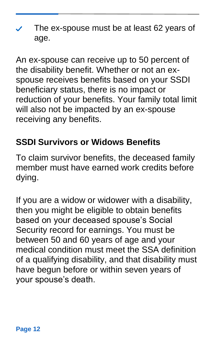The ex-spouse must be at least 62 years of age.

An ex-spouse can receive up to 50 percent of the disability benefit. Whether or not an exspouse receives benefits based on your SSDI beneficiary status, there is no impact or reduction of your benefits. Your family total limit will also not be impacted by an ex-spouse receiving any benefits.

#### **SSDI Survivors or Widows Benefits**

To claim survivor benefits, the deceased family member must have earned work credits before dying.

If you are a widow or widower with a disability, then you might be eligible to obtain benefits based on your deceased spouse's Social Security record for earnings. You must be between 50 and 60 years of age and your medical condition must meet the SSA definition of a qualifying disability, and that disability must have begun before or within seven years of your spouse's death.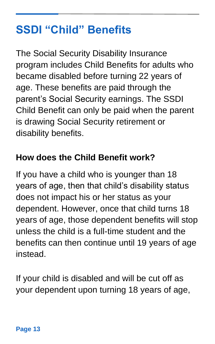## **SSDI "Child" Benefits**

The Social Security Disability Insurance program includes Child Benefits for adults who became disabled before turning 22 years of age. These benefits are paid through the parent's Social Security earnings. The SSDI Child Benefit can only be paid when the parent is drawing Social Security retirement or disability benefits.

#### **How does the Child Benefit work?**

If you have a child who is younger than 18 years of age, then that child's disability status does not impact his or her status as your dependent. However, once that child turns 18 years of age, those dependent benefits will stop unless the child is a full-time student and the benefits can then continue until 19 years of age instead.

If your child is disabled and will be cut off as your dependent upon turning 18 years of age,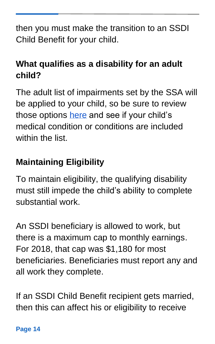then you must make the transition to an SSDI Child Benefit for your child.

### **What qualifies as a disability for an adult child?**

The adult list of impairments set by the SSA will be applied to your child, so be sure to review those options [here](https://www.ssa.gov/disability/professionals/bluebook/AdultListings.htm) and see if your child's medical condition or conditions are included within the list.

### **Maintaining Eligibility**

To maintain eligibility, the qualifying disability must still impede the child's ability to complete substantial work.

An SSDI beneficiary is allowed to work, but there is a maximum cap to monthly earnings. For 2018, that cap was \$1,180 for most beneficiaries. Beneficiaries must report any and all work they complete.

If an SSDI Child Benefit recipient gets married, then this can affect his or eligibility to receive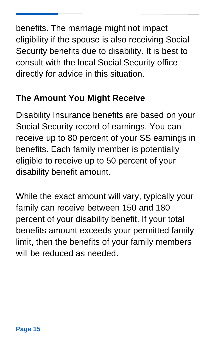benefits. The marriage might not impact eligibility if the spouse is also receiving Social Security benefits due to disability. It is best to consult with the local Social Security office directly for advice in this situation.

#### **The Amount You Might Receive**

Disability Insurance benefits are based on your Social Security record of earnings. You can receive up to 80 percent of your SS earnings in benefits. Each family member is potentially eligible to receive up to 50 percent of your disability benefit amount.

While the exact amount will vary, typically your family can receive between 150 and 180 percent of your disability benefit. If your total benefits amount exceeds your permitted family limit, then the benefits of your family members will be reduced as needed.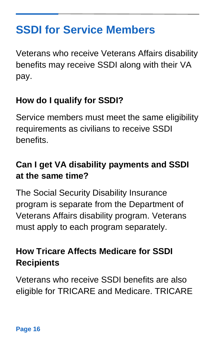### <span id="page-15-0"></span>**SSDI for Service Members**

Veterans who receive Veterans Affairs disability benefits may receive SSDI along with their VA pay.

### **How do I qualify for SSDI?**

Service members must meet the same eligibility requirements as civilians to receive SSDI benefits.

#### **Can I get VA disability payments and SSDI at the same time?**

The Social Security Disability Insurance program is separate from the Department of Veterans Affairs disability program. Veterans must apply to each program separately.

#### **How Tricare Affects Medicare for SSDI Recipients**

Veterans who receive SSDI benefits are also eligible for TRICARE and Medicare. TRICARE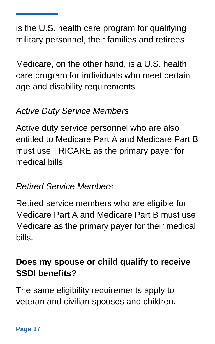is the U.S. health care program for qualifying military personnel, their families and retirees.

Medicare, on the other hand, is a U.S. health care program for individuals who meet certain age and disability requirements.

#### *Active Duty Service Members*

Active duty service personnel who are also entitled to Medicare Part A and Medicare Part B must use TRICARE as the primary payer for medical bills.

#### *Retired Service Members*

Retired service members who are eligible for Medicare Part A and Medicare Part B must use Medicare as the primary payer for their medical bills.

#### **Does my spouse or child qualify to receive SSDI benefits?**

The same eligibility requirements apply to veteran and civilian spouses and children.

#### **Page 17**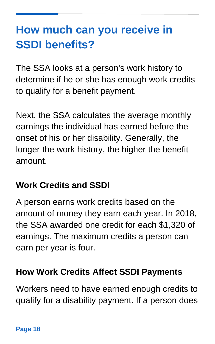## <span id="page-17-0"></span>**How much can you receive in SSDI benefits?**

The SSA looks at a person's work history to determine if he or she has enough work credits to qualify for a benefit payment.

Next, the SSA calculates the average monthly earnings the individual has earned before the onset of his or her disability. Generally, the longer the work history, the higher the benefit amount.

#### **Work Credits and SSDI**

A person earns work credits based on the amount of money they earn each year. In 2018, the SSA awarded one credit for each \$1,320 of earnings. The maximum credits a person can earn per year is four.

#### **How Work Credits Affect SSDI Payments**

Workers need to have earned enough credits to qualify for a disability payment. If a person does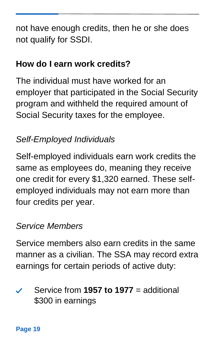not have enough credits, then he or she does not qualify for SSDI.

#### **How do I earn work credits?**

The individual must have worked for an employer that participated in the Social Security program and withheld the required amount of Social Security taxes for the employee.

#### *Self-Employed Individuals*

Self-employed individuals earn work credits the same as employees do, meaning they receive one credit for every \$1,320 earned. These selfemployed individuals may not earn more than four credits per year.

#### *Service Members*

Service members also earn credits in the same manner as a civilian. The SSA may record extra earnings for certain periods of active duty:

Service from **1957 to 1977** = additional \$300 in earnings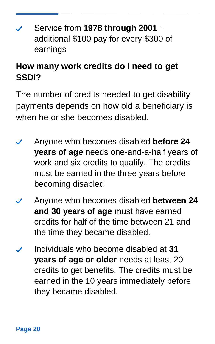Service from **1978 through 2001** = additional \$100 pay for every \$300 of earnings

#### **How many work credits do I need to get SSDI?**

The number of credits needed to get disability payments depends on how old a beneficiary is when he or she becomes disabled.

- Anyone who becomes disabled **before 24 years of age** needs one-and-a-half years of work and six credits to qualify. The credits must be earned in the three years before becoming disabled
- Anyone who becomes disabled **between 24 and 30 years of age** must have earned credits for half of the time between 21 and the time they became disabled.
- Individuals who become disabled at **31 years of age or older** needs at least 20 credits to get benefits. The credits must be earned in the 10 years immediately before they became disabled.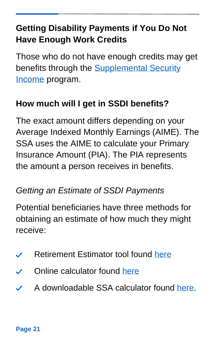### **Getting Disability Payments if You Do Not Have Enough Work Credits**

Those who do not have enough credits may get benefits through the **Supplemental Security** [Income](https://www.ssa.gov/benefits/ssi/) program.

### **How much will I get in SSDI benefits?**

The exact amount differs depending on your Average Indexed Monthly Earnings (AIME). The SSA uses the AIME to calculate your Primary Insurance Amount (PIA). The PIA represents the amount a person receives in benefits.

#### *Getting an Estimate of SSDI Payments*

Potential beneficiaries have three methods for obtaining an estimate of how much they might receive:

- Retirement Estimator tool found [here](https://www.ssa.gov/benefits/retirement/estimator.html)  $\checkmark$
- Online calculator found [here](https://www.ssa.gov/planners/retire/AnypiaApplet.html)
- A downloadable SSA calculator found [here.](https://www.ssa.gov/OACT/anypia/anypia.html) $\boldsymbol{\mathcal{J}}$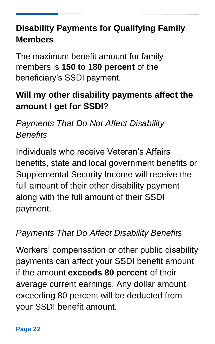#### **Disability Payments for Qualifying Family Members**

The maximum benefit amount for family members is **150 to 180 percent** of the beneficiary's SSDI payment.

### **Will my other disability payments affect the amount I get for SSDI?**

### *Payments That Do Not Affect Disability Benefits*

Individuals who receive Veteran's Affairs benefits, state and local government benefits or Supplemental Security Income will receive the full amount of their other disability payment along with the full amount of their SSDI payment.

#### *Payments That Do Affect Disability Benefits*

Workers' compensation or other public disability payments can affect your SSDI benefit amount if the amount **exceeds 80 percent** of their average current earnings. Any dollar amount exceeding 80 percent will be deducted from your SSDI benefit amount.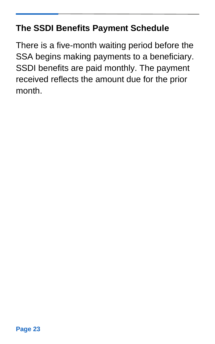#### **The SSDI Benefits Payment Schedule**

There is a five-month waiting period before the SSA begins making payments to a beneficiary. SSDI benefits are paid monthly. The payment received reflects the amount due for the prior month.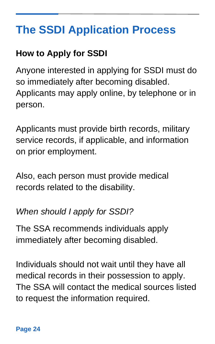# <span id="page-23-0"></span>**The SSDI Application Process**

#### **How to Apply for SSDI**

Anyone interested in applying for SSDI must do so immediately after becoming disabled. Applicants may apply online, by telephone or in person.

Applicants must provide birth records, military service records, if applicable, and information on prior employment.

Also, each person must provide medical records related to the disability.

#### *When should I apply for SSDI?*

The SSA recommends individuals apply immediately after becoming disabled.

Individuals should not wait until they have all medical records in their possession to apply. The SSA will contact the medical sources listed to request the information required.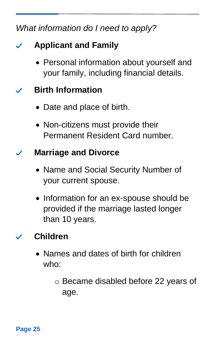#### *What information do I need to apply?*

#### **Applicant and Family**  $\checkmark$

• Personal information about yourself and your family, including financial details.

#### **Birth Information**   $\boldsymbol{\mathcal{L}}$

- Date and place of birth.
- Non-citizens must provide their Permanent Resident Card number.

#### **Marriage and Divorce**

- Name and Social Security Number of your current spouse.
- Information for an ex-spouse should be provided if the marriage lasted longer than 10 years.

#### **Children**

- Names and dates of birth for children who:
	- o Became disabled before 22 years of age.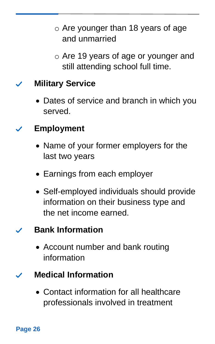- o Are younger than 18 years of age and unmarried
- o Are 19 years of age or younger and still attending school full time.

#### **Military Service**

• Dates of service and branch in which you served.

#### **Employment**

- Name of your former employers for the last two years
- Earnings from each employer
- Self-employed individuals should provide information on their business type and the net income earned.

#### **Bank Information**

• Account number and bank routing information

#### **Medical Information**

• Contact information for all healthcare professionals involved in treatment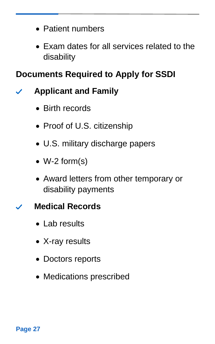- Patient numbers
- Exam dates for all services related to the disability

#### **Documents Required to Apply for SSDI**

#### **Applicant and Family**  $\checkmark$

- Birth records
- Proof of U.S. citizenship
- U.S. military discharge papers
- W-2 form(s)
- Award letters from other temporary or disability payments

#### **Medical Records**

- Lab results
- X-ray results
- Doctors reports
- Medications prescribed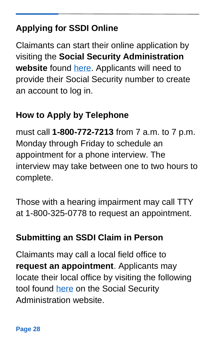### **Applying for SSDI Online**

Claimants can start their online application by visiting the **Social Security Administration website** found [here.](https://secure.ssa.gov/iClaim/dib) Applicants will need to provide their Social Security number to create an account to log in.

#### **How to Apply by Telephone**

must call **1-800-772-7213** from 7 a.m. to 7 p.m. Monday through Friday to schedule an appointment for a phone interview. The interview may take between one to two hours to complete.

Those with a hearing impairment may call TTY at 1-800-325-0778 to request an appointment.

#### **Submitting an SSDI Claim in Person**

<span id="page-27-0"></span>Claimants may call a local field office to **request an appointment**. Applicants may locate their local office by visiting the following tool found [here](https://secure.ssa.gov/ICON/main.jsp) on the Social Security Administration website.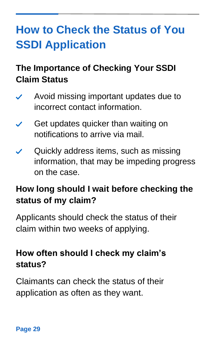# **How to Check the Status of You SSDI Application**

### **The Importance of Checking Your SSDI Claim Status**

- Avoid missing important updates due to incorrect contact information.
- Get updates quicker than waiting on notifications to arrive via mail.
- Quickly address items, such as missing information, that may be impeding progress on the case.

#### **How long should I wait before checking the status of my claim?**

Applicants should check the status of their claim within two weeks of applying.

#### **How often should I check my claim's status?**

Claimants can check the status of their application as often as they want.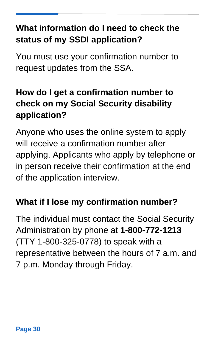#### **What information do I need to check the status of my SSDI application?**

You must use your confirmation number to request updates from the SSA.

### **How do I get a confirmation number to check on my Social Security disability application?**

Anyone who uses the online system to apply will receive a confirmation number after applying. Applicants who apply by telephone or in person receive their confirmation at the end of the application interview.

#### **What if I lose my confirmation number?**

The individual must contact the Social Security Administration by phone at **1-800-772-1213** (TTY 1-800-325-0778) to speak with a representative between the hours of 7 a.m. and 7 p.m. Monday through Friday.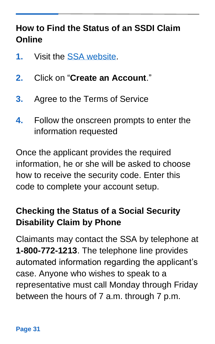#### **How to Find the Status of an SSDI Claim Online**

- **1.** Visit the [SSA website.](https://secure.ssa.gov/RIL/SiView.action)
- **2.** Click on "**Create an Account**."
- **3.** Agree to the Terms of Service
- **4.** Follow the onscreen prompts to enter the information requested

Once the applicant provides the required information, he or she will be asked to choose how to receive the security code. Enter this code to complete your account setup.

#### **Checking the Status of a Social Security Disability Claim by Phone**

Claimants may contact the SSA by telephone at **1-800-772-1213**. The telephone line provides automated information regarding the applicant's case. Anyone who wishes to speak to a representative must call Monday through Friday between the hours of 7 a.m. through 7 p.m.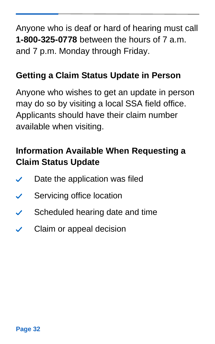Anyone who is deaf or hard of hearing must call **1-800-325-0778** between the hours of 7 a.m. and 7 p.m. Monday through Friday.

#### **Getting a Claim Status Update in Person**

Anyone who wishes to get an update in person may do so by visiting a local SSA field office. Applicants should have their claim number available when visiting.

### **Information Available When Requesting a Claim Status Update**

- Date the application was filed
- Servicing office location  $\checkmark$
- Scheduled hearing date and time  $\checkmark$
- Claim or appeal decision $\checkmark$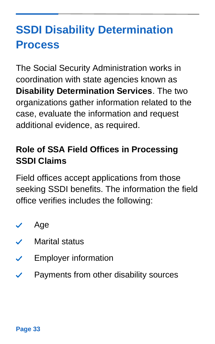# <span id="page-32-0"></span>**SSDI Disability Determination Process**

The Social Security Administration works in coordination with state agencies known as **Disability Determination Services**. The two organizations gather information related to the case, evaluate the information and request additional evidence, as required.

### **Role of SSA Field Offices in Processing SSDI Claims**

Field offices accept applications from those seeking SSDI benefits. The information the field office verifies includes the following:

- Age  $\checkmark$
- Marital status  $\mathscr{L}$
- Employer information  $\boldsymbol{\mathcal{L}}$
- Payments from other disability sources $\checkmark$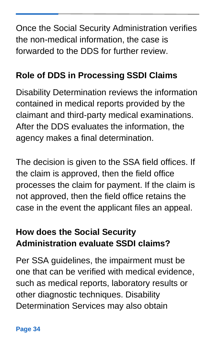Once the Social Security Administration verifies the non-medical information, the case is forwarded to the DDS for further review.

#### **Role of DDS in Processing SSDI Claims**

Disability Determination reviews the information contained in medical reports provided by the claimant and third-party medical examinations. After the DDS evaluates the information, the agency makes a final determination.

The decision is given to the SSA field offices. If the claim is approved, then the field office processes the claim for payment. If the claim is not approved, then the field office retains the case in the event the applicant files an appeal.

### **How does the Social Security Administration evaluate SSDI claims?**

Per SSA guidelines, the impairment must be one that can be verified with medical evidence, such as medical reports, laboratory results or other diagnostic techniques. Disability Determination Services may also obtain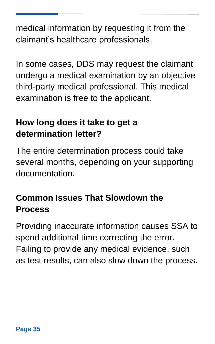medical information by requesting it from the claimant's healthcare professionals.

In some cases, DDS may request the claimant undergo a medical examination by an objective third-party medical professional. This medical examination is free to the applicant.

#### **How long does it take to get a determination letter?**

The entire determination process could take several months, depending on your supporting documentation.

### **Common Issues That Slowdown the Process**

Providing inaccurate information causes SSA to spend additional time correcting the error. Failing to provide any medical evidence, such as test results, can also slow down the process.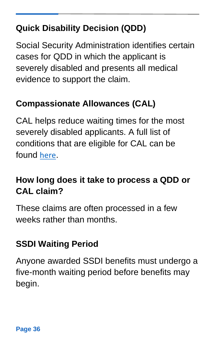### **Quick Disability Decision (QDD)**

Social Security Administration identifies certain cases for QDD in which the applicant is severely disabled and presents all medical evidence to support the claim.

#### **Compassionate Allowances (CAL)**

CAL helps reduce waiting times for the most severely disabled applicants. A full list of conditions that are eligible for CAL can be found [here](https://www.ssa.gov/compassionateallowances/conditions.htm).

#### **How long does it take to process a QDD or CAL claim?**

These claims are often processed in a few weeks rather than months.

#### **SSDI Waiting Period**

Anyone awarded SSDI benefits must undergo a five-month waiting period before benefits may begin.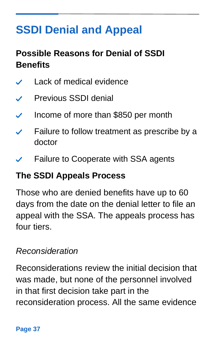# <span id="page-36-0"></span>**SSDI Denial and Appeal**

### **Possible Reasons for Denial of SSDI Benefits**

- Lack of medical evidence  $\checkmark$
- Previous SSDI denial  $\checkmark$
- Income of more than \$850 per month
- Failure to follow treatment as prescribe by a doctor
- Failure to Cooperate with SSA agents

#### **The SSDI Appeals Process**

Those who are denied benefits have up to 60 days from the date on the denial letter to file an appeal with the SSA. The appeals process has four tiers.

#### *Reconsideration*

Reconsiderations review the initial decision that was made, but none of the personnel involved in that first decision take part in the reconsideration process. All the same evidence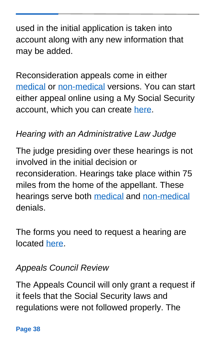used in the initial application is taken into account along with any new information that may be added.

Reconsideration appeals come in either [medical](https://secure.ssa.gov/iApplsRe/start) or [non-medical](https://secure.ssa.gov/iApplNMD/start) versions. You can start either appeal online using a My Social Security account, which you can create [here.](https://www.ssa.gov/myaccount/)

#### *Hearing with an Administrative Law Judge*

The judge presiding over these hearings is not involved in the initial decision or reconsideration. Hearings take place within 75 miles from the home of the appellant. These hearings serve both [medical](https://secure.ssa.gov/iApplsRe/start) and [non-medical](https://secure.ssa.gov/iApplNMD/start) denials.

The forms you need to request a hearing are located [here.](https://www.ssa.gov/forms/ha-501.html)

#### *Appeals Council Review*

The Appeals Council will only grant a request if it feels that the Social Security laws and regulations were not followed properly. The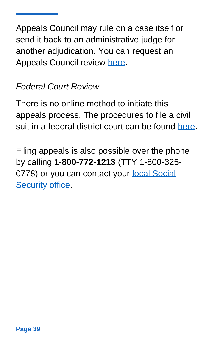Appeals Council may rule on a case itself or send it back to an administrative judge for another adjudication. You can request an Appeals Council review [here.](https://secure.ssa.gov/iApplNMD/oao)

#### *Federal Court Review*

There is no online method to initiate this appeals process. The procedures to file a civil suit in a federal district court can be found [here.](https://www.ssa.gov/appeals/court_process.html)

Filing appeals is also possible over the phone by calling **1-800-772-1213** (TTY 1-800-325- 0778) or you can contact your local Social [Security office.](https://secure.ssa.gov/ICON/main.jsp)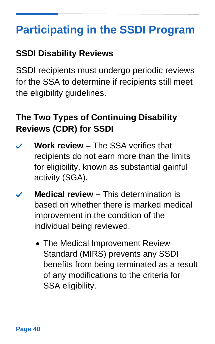## <span id="page-39-0"></span>**Participating in the SSDI Program**

#### **SSDI Disability Reviews**

SSDI recipients must undergo periodic reviews for the SSA to determine if recipients still meet the eligibility guidelines.

#### **The Two Types of Continuing Disability Reviews (CDR) for SSDI**

- **Work review –** The SSA verifies that  $\checkmark$ recipients do not earn more than the limits for eligibility, known as substantial gainful activity (SGA).
- **Medical review –** This determination is based on whether there is marked medical improvement in the condition of the individual being reviewed.
	- The Medical Improvement Review Standard (MIRS) prevents any SSDI benefits from being terminated as a result of any modifications to the criteria for SSA eligibility.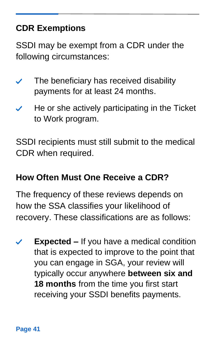### **CDR Exemptions**

SSDI may be exempt from a CDR under the following circumstances:

- The beneficiary has received disability  $\checkmark$ payments for at least 24 months.
- He or she actively participating in the Ticket to Work program.

SSDI recipients must still submit to the medical CDR when required.

#### **How Often Must One Receive a CDR?**

The frequency of these reviews depends on how the SSA classifies your likelihood of recovery. These classifications are as follows:

**Expected –** If you have a medical condition  $\checkmark$ that is expected to improve to the point that you can engage in SGA, your review will typically occur anywhere **between six and 18 months** from the time you first start receiving your SSDI benefits payments.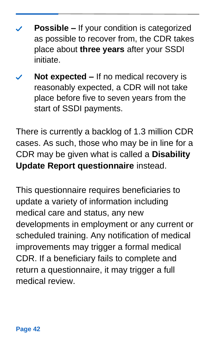- **Possible –** If your condition is categorized as possible to recover from, the CDR takes place about **three years** after your SSDI initiate.
- **Not expected –** If no medical recovery is reasonably expected, a CDR will not take place before five to seven years from the start of SSDI payments.

There is currently a backlog of 1.3 million CDR cases. As such, those who may be in line for a CDR may be given what is called a **Disability Update Report questionnaire** instead.

This questionnaire requires beneficiaries to update a variety of information including medical care and status, any new developments in employment or any current or scheduled training. Any notification of medical improvements may trigger a formal medical CDR. If a beneficiary fails to complete and return a questionnaire, it may trigger a full medical review.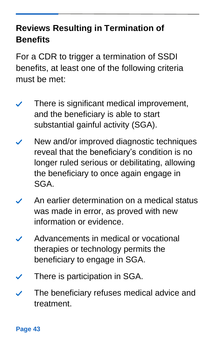#### **Reviews Resulting in Termination of Benefits**

For a CDR to trigger a termination of SSDI benefits, at least one of the following criteria must be met:

- There is significant medical improvement,  $\checkmark$ and the beneficiary is able to start substantial gainful activity (SGA).
- New and/or improved diagnostic techniques reveal that the beneficiary's condition is no longer ruled serious or debilitating, allowing the beneficiary to once again engage in SGA.
- An earlier determination on a medical status was made in error, as proved with new information or evidence.
- Advancements in medical or vocational therapies or technology permits the beneficiary to engage in SGA.
- There is participation in SGA.
- The beneficiary refuses medical advice and  $\checkmark$ treatment.

**Page 43**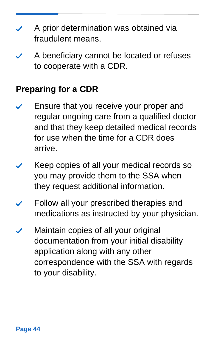- A prior determination was obtained via fraudulent means.
- A beneficiary cannot be located or refuses to cooperate with a CDR.

#### **Preparing for a CDR**

- Ensure that you receive your proper and regular ongoing care from a qualified doctor and that they keep detailed medical records for use when the time for a CDR does arrive.
- Keep copies of all your medical records so you may provide them to the SSA when they request additional information.
- Follow all your prescribed therapies and medications as instructed by your physician.
- Maintain copies of all your original documentation from your initial disability application along with any other correspondence with the SSA with regards to your disability.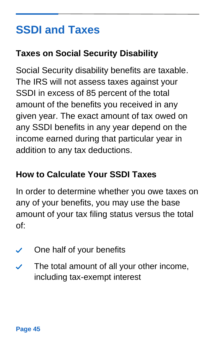# <span id="page-44-0"></span>**SSDI and Taxes**

#### **Taxes on Social Security Disability**

Social Security disability benefits are taxable. The IRS will not assess taxes against your SSDI in excess of 85 percent of the total amount of the benefits you received in any given year. The exact amount of tax owed on any SSDI benefits in any year depend on the income earned during that particular year in addition to any tax deductions.

#### **How to Calculate Your SSDI Taxes**

In order to determine whether you owe taxes on any of your benefits, you may use the base amount of your tax filing status versus the total of:

- One half of your benefits  $\checkmark$
- The total amount of all your other income,  $\checkmark$ including tax-exempt interest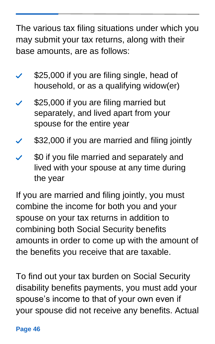The various tax filing situations under which you may submit your tax returns, along with their base amounts, are as follows:

- \$25,000 if you are filing single, head of household, or as a qualifying widow(er)
- \$25,000 if you are filing married but separately, and lived apart from your spouse for the entire year
- \$32,000 if you are married and filing jointly
- \$0 if you file married and separately and lived with your spouse at any time during the year

If you are married and filing jointly, you must combine the income for both you and your spouse on your tax returns in addition to combining both Social Security benefits amounts in order to come up with the amount of the benefits you receive that are taxable.

To find out your tax burden on Social Security disability benefits payments, you must add your spouse's income to that of your own even if your spouse did not receive any benefits. Actual

#### **Page 46**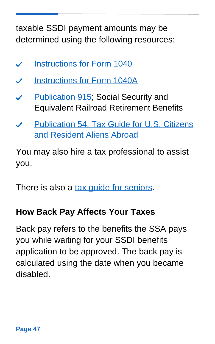taxable SSDI payment amounts may be determined using the following resources:

- [Instructions for](https://www.irs.gov/forms-pubs/about-form-1040) Form 1040  $\boldsymbol{\mathcal{L}}$
- [Instructions for Form 1040A](https://www.irs.gov/forms-pubs/about-form-1040-a)  $\boldsymbol{\mathscr{S}}$
- [Publication 915;](https://www.irs.gov/forms-pubs/about-publication-915) Social Security and Equivalent Railroad Retirement Benefits
- [Publication 54, Tax Guide for U.S. Citizens](https://www.irs.gov/pub/irs-pdf/p54.pdf)  [and Resident Aliens Abroad](https://www.irs.gov/pub/irs-pdf/p54.pdf)

You may also hire a tax professional to assist you.

There is also a tax quide for seniors.

#### **How Back Pay Affects Your Taxes**

Back pay refers to the benefits the SSA pays you while waiting for your SSDI benefits application to be approved. The back pay is calculated using the date when you became disabled.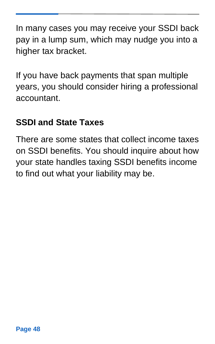In many cases you may receive your SSDI back pay in a lump sum, which may nudge you into a higher tax bracket.

If you have back payments that span multiple years, you should consider hiring a professional accountant.

#### **SSDI and State Taxes**

There are some states that collect income taxes on SSDI benefits. You should inquire about how your state handles taxing SSDI benefits income to find out what your liability may be.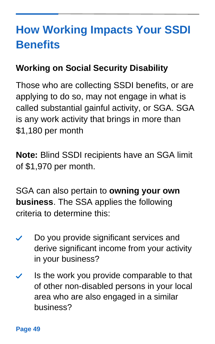# <span id="page-48-0"></span>**How Working Impacts Your SSDI Benefits**

#### **Working on Social Security Disability**

Those who are collecting SSDI benefits, or are applying to do so, may not engage in what is called substantial gainful activity, or SGA. SGA is any work activity that brings in more than \$1,180 per month

**Note:** Blind SSDI recipients have an SGA limit of \$1,970 per month.

SGA can also pertain to **owning your own business**. The SSA applies the following criteria to determine this:

- Do you provide significant services and  $\checkmark$ derive significant income from your activity in your business?
- Is the work you provide comparable to that  $\boldsymbol{\checkmark}$ of other non-disabled persons in your local area who are also engaged in a similar business?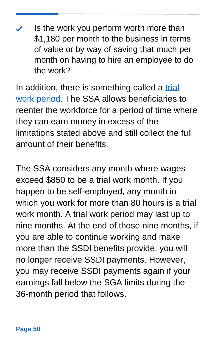Is the work you perform worth more than \$1,180 per month to the business in terms of value or by way of saving that much per month on having to hire an employee to do the work?

In addition, there is something called a trial [work period.](https://www.ssa.gov/oact/cola/twp.html) The SSA allows beneficiaries to reenter the workforce for a period of time where they can earn money in excess of the limitations stated above and still collect the full amount of their benefits.

The SSA considers any month where wages exceed \$850 to be a trial work month. If you happen to be self-employed, any month in which you work for more than 80 hours is a trial work month. A trial work period may last up to nine months. At the end of those nine months, if you are able to continue working and make more than the SSDI benefits provide, you will no longer receive SSDI payments. However, you may receive SSDI payments again if your earnings fall below the SGA limits during the 36-month period that follows.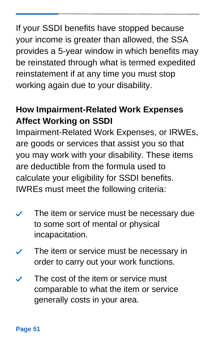If your SSDI benefits have stopped because your income is greater than allowed, the SSA provides a 5-year window in which benefits may be reinstated through what is termed expedited reinstatement if at any time you must stop working again due to your disability.

#### **How Impairment-Related Work Expenses Affect Working on SSDI**

Impairment-Related Work Expenses, or IRWEs, are goods or services that assist you so that you may work with your disability. These items are deductible from the formula used to calculate your eligibility for SSDI benefits. IWREs must meet the following criteria:

- The item or service must be necessary due to some sort of mental or physical incapacitation.
- The item or service must be necessary in order to carry out your work functions.
- The cost of the item or service must comparable to what the item or service generally costs in your area.

#### **Page 51**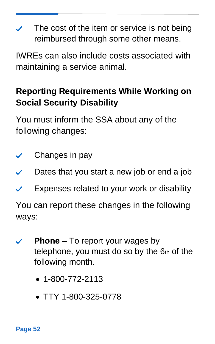The cost of the item or service is not being reimbursed through some other means.

IWREs can also include costs associated with maintaining a service animal.

#### **Reporting Requirements While Working on Social Security Disability**

You must inform the SSA about any of the following changes:

- Changes in pay  $\checkmark$
- Dates that you start a new job or end a job  $\boldsymbol{\mathcal{U}}$
- Expenses related to your work or disability

You can report these changes in the following ways:

- **Phone –** To report your wages by telephone, you must do so by the 6th of the following month.
	- 1-800-772-2113
	- TTY 1-800-325-0778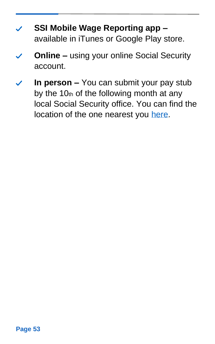- **SSI Mobile Wage Reporting app –** available in iTunes or Google Play store.
- **Online –** using your online Social Security account.
- **In person –** You can submit your pay stub by the 10th of the following month at any local Social Security office. You can find the location of the one nearest you [here.](https://www.ssa.gov/agency/contact/)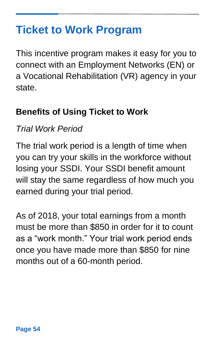### <span id="page-53-0"></span>**Ticket to Work Program**

This incentive program makes it easy for you to connect with an Employment Networks (EN) or a Vocational Rehabilitation (VR) agency in your state.

#### **Benefits of Using Ticket to Work**

#### *Trial Work Period*

The trial work period is a length of time when you can try your skills in the workforce without losing your SSDI. Your SSDI benefit amount will stay the same regardless of how much you earned during your trial period.

As of 2018, your total earnings from a month must be more than \$850 in order for it to count as a "work month." Your trial work period ends once you have made more than \$850 for nine months out of a 60-month period.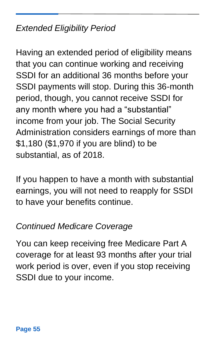#### *Extended Eligibility Period*

Having an extended period of eligibility means that you can continue working and receiving SSDI for an additional 36 months before your SSDI payments will stop. During this 36-month period, though, you cannot receive SSDI for any month where you had a "substantial" income from your job. The Social Security Administration considers earnings of more than \$1,180 (\$1,970 if you are blind) to be substantial, as of 2018.

If you happen to have a month with substantial earnings, you will not need to reapply for SSDI to have your benefits continue.

#### *Continued Medicare Coverage*

You can keep receiving free Medicare Part A coverage for at least 93 months after your trial work period is over, even if you stop receiving SSDI due to your income.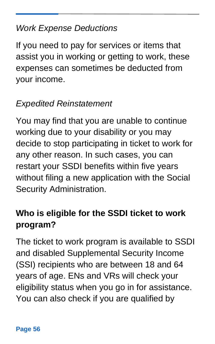#### *Work Expense Deductions*

If you need to pay for services or items that assist you in working or getting to work, these expenses can sometimes be deducted from your income.

#### *Expedited Reinstatement*

You may find that you are unable to continue working due to your disability or you may decide to stop participating in ticket to work for any other reason. In such cases, you can restart your SSDI benefits within five years without filing a new application with the Social Security Administration.

#### **Who is eligible for the SSDI ticket to work program?**

The ticket to work program is available to SSDI and disabled Supplemental Security Income (SSI) recipients who are between 18 and 64 years of age. ENs and VRs will check your eligibility status when you go in for assistance. You can also check if you are qualified by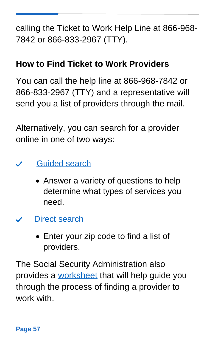calling the Ticket to Work Help Line at 866-968- 7842 or 866-833-2967 (TTY).

#### **How to Find Ticket to Work Providers**

You can call the help line at 866-968-7842 or 866-833-2967 (TTY) and a representative will send you a list of providers through the mail.

Alternatively, you can search for a provider online in one of two ways:

- [Guided search](http://app.keysurvey.com/f/1142311/133f/)  $\boldsymbol{\mathscr{S}}$ 
	- Answer a variety of questions to help determine what types of services you need.
- [Direct search](https://choosework.ssa.gov/findhelp/result?option=directSearch)
	- Enter your zip code to find a list of providers.

The Social Security Administration also provides a [worksheet](https://choosework.ssa.gov/Assets/docs-materials/BeneficiaryWsht-form6-05-2015_508.pdf) that will help guide you through the process of finding a provider to work with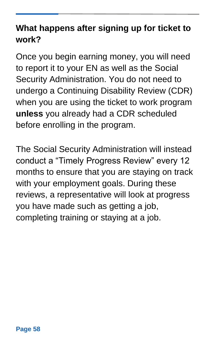#### **What happens after signing up for ticket to work?**

Once you begin earning money, you will need to report it to your EN as well as the Social Security Administration. You do not need to undergo a Continuing Disability Review (CDR) when you are using the ticket to work program **unless** you already had a CDR scheduled before enrolling in the program.

The Social Security Administration will instead conduct a "Timely Progress Review" every 12 months to ensure that you are staying on track with your employment goals. During these reviews, a representative will look at progress you have made such as getting a job, completing training or staying at a job.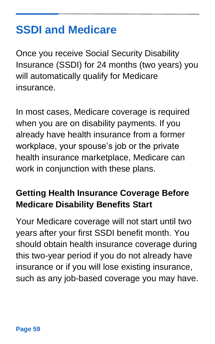### <span id="page-58-0"></span>**SSDI and Medicare**

Once you receive Social Security Disability Insurance (SSDI) for 24 months (two years) you will automatically qualify for Medicare insurance.

In most cases, Medicare coverage is required when you are on disability payments. If you already have health insurance from a former workplace, your spouse's job or the private health insurance marketplace, Medicare can work in conjunction with these plans.

#### **Getting Health Insurance Coverage Before Medicare Disability Benefits Start**

Your Medicare coverage will not start until two years after your first SSDI benefit month. You should obtain health insurance coverage during this two-year period if you do not already have insurance or if you will lose existing insurance, such as any job-based coverage you may have.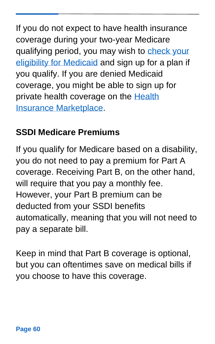If you do not expect to have health insurance coverage during your two-year Medicare qualifying period, you may wish to [check your](https://www.hhs.gov/answers/medicare-and-medicaid/who-is-eligible-for-medicaid/index.html)  [eligibility for Medicaid](https://www.hhs.gov/answers/medicare-and-medicaid/who-is-eligible-for-medicaid/index.html) and sign up for a plan if you qualify. If you are denied Medicaid coverage, you might be able to sign up for private health coverage on the **Health** [Insurance Marketplace.](https://www.healthcare.gov/)

#### **SSDI Medicare Premiums**

If you qualify for Medicare based on a disability, you do not need to pay a premium for Part A coverage. Receiving Part B, on the other hand, will require that you pay a monthly fee. However, your Part B premium can be deducted from your SSDI benefits automatically, meaning that you will not need to pay a separate bill.

Keep in mind that Part B coverage is optional, but you can oftentimes save on medical bills if you choose to have this coverage.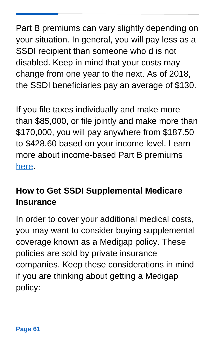Part B premiums can vary slightly depending on your situation. In general, you will pay less as a SSDI recipient than someone who d is not disabled. Keep in mind that your costs may change from one year to the next. As of 2018, the SSDI beneficiaries pay an average of \$130.

If you file taxes individually and make more than \$85,000, or file jointly and make more than \$170,000, you will pay anywhere from \$187.50 to \$428.60 based on your income level. Learn more about income-based Part B premiums [here.](https://www.medicare.gov/your-medicare-costs/part-b-costs)

#### **How to Get SSDI Supplemental Medicare Insurance**

In order to cover your additional medical costs, you may want to consider buying supplemental coverage known as a Medigap policy. These policies are sold by private insurance companies. Keep these considerations in mind if you are thinking about getting a Medigap policy: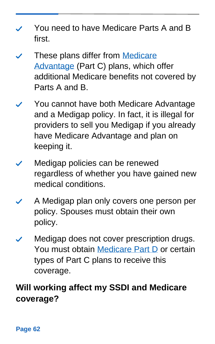- You need to have Medicare Parts A and B first.
- These plans differ from [Medicare](https://www.medicare.gov/sign-up-change-plans/types-of-medicare-health-plans/medicare-advantage-plans)  [Advantage](https://www.medicare.gov/sign-up-change-plans/types-of-medicare-health-plans/medicare-advantage-plans) (Part C) plans, which offer additional Medicare benefits not covered by Parts A and B.
- You cannot have both Medicare Advantage and a Medigap policy. In fact, it is illegal for providers to sell you Medigap if you already have Medicare Advantage and plan on keeping it.
- Medigap policies can be renewed regardless of whether you have gained new medical conditions.
- A Medigap plan only covers one person per policy. Spouses must obtain their own policy.
- Medigap does not cover prescription drugs. You must obtain [Medicare Part D](https://www.medicare.gov/drug-coverage-part-d) or certain types of Part C plans to receive this coverage.

### **Will working affect my SSDI and Medicare coverage?**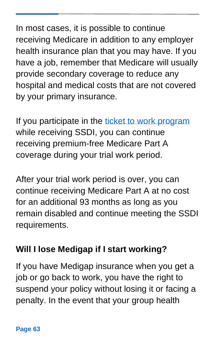In most cases, it is possible to continue receiving Medicare in addition to any employer health insurance plan that you may have. If you have a job, remember that Medicare will usually provide secondary coverage to reduce any hospital and medical costs that are not covered by your primary insurance.

If you participate in the [ticket to work program](https://choosework.ssa.gov/about/how-it-works/index.html) while receiving SSDI, you can continue receiving premium-free Medicare Part A coverage during your trial work period.

After your trial work period is over, you can continue receiving Medicare Part A at no cost for an additional 93 months as long as you remain disabled and continue meeting the SSDI requirements.

#### **Will I lose Medigap if I start working?**

If you have Medigap insurance when you get a job or go back to work, you have the right to suspend your policy without losing it or facing a penalty. In the event that your group health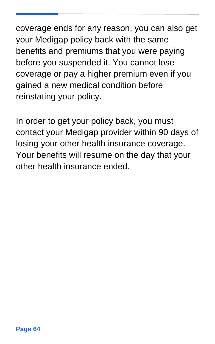coverage ends for any reason, you can also get your Medigap policy back with the same benefits and premiums that you were paying before you suspended it. You cannot lose coverage or pay a higher premium even if you gained a new medical condition before reinstating your policy.

In order to get your policy back, you must contact your Medigap provider within 90 days of losing your other health insurance coverage. Your benefits will resume on the day that your other health insurance ended.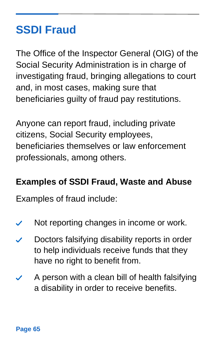## <span id="page-64-0"></span>**SSDI Fraud**

The Office of the Inspector General (OIG) of the Social Security Administration is in charge of investigating fraud, bringing allegations to court and, in most cases, making sure that beneficiaries guilty of fraud pay restitutions.

Anyone can report fraud, including private citizens, Social Security employees, beneficiaries themselves or law enforcement professionals, among others.

#### **Examples of SSDI Fraud, Waste and Abuse**

Examples of fraud include:

- Not reporting changes in income or work.  $\checkmark$
- Doctors falsifying disability reports in order  $\boldsymbol{\mathscr{S}}$ to help individuals receive funds that they have no right to benefit from.
- A person with a clean bill of health falsifying a disability in order to receive benefits.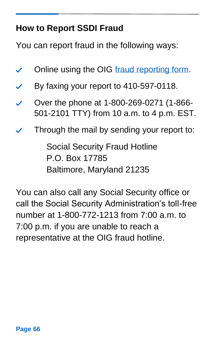#### **How to Report SSDI Fraud**

You can report fraud in the following ways:

- Online using the OIG [fraud reporting form.](https://www.ssa.gov/fraudreport/oig/public_fraud_reporting/form.htm)
- By faxing your report to 410-597-0118.  $\boldsymbol{\checkmark}$
- Over the phone at 1-800-269-0271 (1-866- ╱ 501-2101 TTY) from 10 a.m. to 4 p.m. EST.
- Through the mail by sending your report to:

Social Security Fraud Hotline P.O. Box 17785 Baltimore, Maryland 21235

You can also call any Social Security office or call the Social Security Administration's toll-free number at 1-800-772-1213 from 7:00 a.m. to 7:00 p.m. if you are unable to reach a representative at the OIG fraud hotline.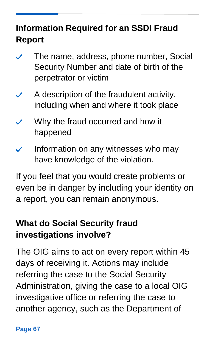#### **Information Required for an SSDI Fraud Report**

- The name, address, phone number, Social  $\checkmark$ Security Number and date of birth of the perpetrator or victim
- A description of the fraudulent activity,  $\checkmark$ including when and where it took place
- Why the fraud occurred and how it happened
- Information on any witnesses who may have knowledge of the violation.

If you feel that you would create problems or even be in danger by including your identity on a report, you can remain anonymous.

### **What do Social Security fraud investigations involve?**

The OIG aims to act on every report within 45 days of receiving it. Actions may include referring the case to the Social Security Administration, giving the case to a local OIG investigative office or referring the case to another agency, such as the Department of